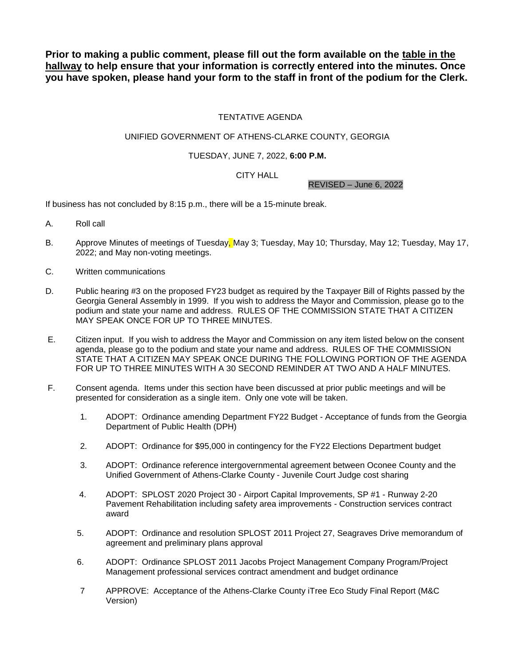**Prior to making a public comment, please fill out the form available on the table in the hallway to help ensure that your information is correctly entered into the minutes. Once you have spoken, please hand your form to the staff in front of the podium for the Clerk.**

# TENTATIVE AGENDA

## UNIFIED GOVERNMENT OF ATHENS-CLARKE COUNTY, GEORGIA

### TUESDAY, JUNE 7, 2022, **6:00 P.M.**

## CITY HALL

REVISED – June 6, 2022

If business has not concluded by 8:15 p.m., there will be a 15-minute break.

- A. Roll call
- B. Approve Minutes of meetings of Tuesday, May 3; Tuesday, May 10; Thursday, May 12; Tuesday, May 17, 2022; and May non-voting meetings.
- C. Written communications
- D. Public hearing #3 on the proposed FY23 budget as required by the Taxpayer Bill of Rights passed by the Georgia General Assembly in 1999. If you wish to address the Mayor and Commission, please go to the podium and state your name and address. RULES OF THE COMMISSION STATE THAT A CITIZEN MAY SPEAK ONCE FOR UP TO THREE MINUTES.
- E. Citizen input. If you wish to address the Mayor and Commission on any item listed below on the consent agenda, please go to the podium and state your name and address. RULES OF THE COMMISSION STATE THAT A CITIZEN MAY SPEAK ONCE DURING THE FOLLOWING PORTION OF THE AGENDA FOR UP TO THREE MINUTES WITH A 30 SECOND REMINDER AT TWO AND A HALF MINUTES.
- F. Consent agenda. Items under this section have been discussed at prior public meetings and will be presented for consideration as a single item. Only one vote will be taken.
	- 1. ADOPT: Ordinance amending Department FY22 Budget Acceptance of funds from the Georgia Department of Public Health (DPH)
	- 2. ADOPT: Ordinance for \$95,000 in contingency for the FY22 Elections Department budget
	- 3. ADOPT: Ordinance reference intergovernmental agreement between Oconee County and the Unified Government of Athens-Clarke County - Juvenile Court Judge cost sharing
	- 4. ADOPT: SPLOST 2020 Project 30 Airport Capital Improvements, SP #1 Runway 2-20 Pavement Rehabilitation including safety area improvements - Construction services contract award
	- 5. ADOPT: Ordinance and resolution SPLOST 2011 Project 27, Seagraves Drive memorandum of agreement and preliminary plans approval
	- 6. ADOPT: Ordinance SPLOST 2011 Jacobs Project Management Company Program/Project Management professional services contract amendment and budget ordinance
	- 7 APPROVE: Acceptance of the Athens-Clarke County iTree Eco Study Final Report (M&C Version)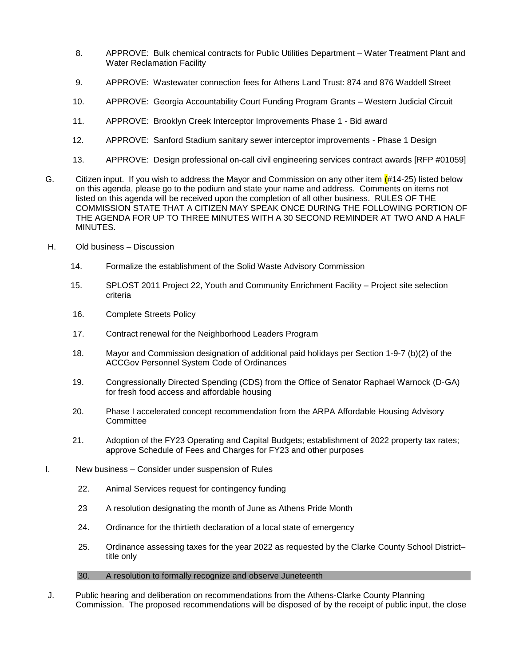- 8. APPROVE: Bulk chemical contracts for Public Utilities Department Water Treatment Plant and Water Reclamation Facility
- 9. APPROVE: Wastewater connection fees for Athens Land Trust: 874 and 876 Waddell Street
- 10. APPROVE: Georgia Accountability Court Funding Program Grants Western Judicial Circuit
- 11. APPROVE: Brooklyn Creek Interceptor Improvements Phase 1 Bid award
- 12. APPROVE: Sanford Stadium sanitary sewer interceptor improvements Phase 1 Design
- 13. APPROVE: Design professional on-call civil engineering services contract awards [RFP #01059]
- G. Citizen input. If you wish to address the Mayor and Commission on any other item  $(#14-25)$  listed below on this agenda, please go to the podium and state your name and address. Comments on items not listed on this agenda will be received upon the completion of all other business. RULES OF THE COMMISSION STATE THAT A CITIZEN MAY SPEAK ONCE DURING THE FOLLOWING PORTION OF THE AGENDA FOR UP TO THREE MINUTES WITH A 30 SECOND REMINDER AT TWO AND A HALF MINUTES.
- H. Old business Discussion
	- 14. Formalize the establishment of the Solid Waste Advisory Commission
	- 15. SPLOST 2011 Project 22, Youth and Community Enrichment Facility Project site selection criteria
	- 16. Complete Streets Policy
	- 17. Contract renewal for the Neighborhood Leaders Program
	- 18. Mayor and Commission designation of additional paid holidays per Section 1-9-7 (b)(2) of the ACCGov Personnel System Code of Ordinances
	- 19. Congressionally Directed Spending (CDS) from the Office of Senator Raphael Warnock (D‐GA) for fresh food access and affordable housing
	- 20. Phase I accelerated concept recommendation from the ARPA Affordable Housing Advisory **Committee**
	- 21. Adoption of the FY23 Operating and Capital Budgets; establishment of 2022 property tax rates; approve Schedule of Fees and Charges for FY23 and other purposes
- I. New business Consider under suspension of Rules
	- 22. Animal Services request for contingency funding
	- 23 A resolution designating the month of June as Athens Pride Month
	- 24. Ordinance for the thirtieth declaration of a local state of emergency
	- 25. Ordinance assessing taxes for the year 2022 as requested by the Clarke County School District– title only

### 30. A resolution to formally recognize and observe Juneteenth

J. Public hearing and deliberation on recommendations from the Athens-Clarke County Planning Commission. The proposed recommendations will be disposed of by the receipt of public input, the close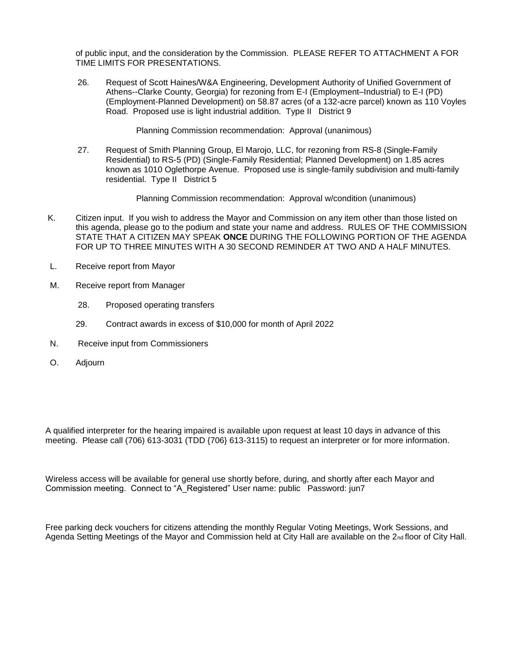of public input, and the consideration by the Commission. PLEASE REFER TO ATTACHMENT A FOR TIME LIMITS FOR PRESENTATIONS.

26. Request of Scott Haines/W&A Engineering, Development Authority of Unified Government of Athens--Clarke County, Georgia) for rezoning from E-I (Employment–Industrial) to E-I (PD) (Employment-Planned Development) on 58.87 acres (of a 132-acre parcel) known as 110 Voyles Road. Proposed use is light industrial addition. Type II District 9

Planning Commission recommendation: Approval (unanimous)

27. Request of Smith Planning Group, El Marojo, LLC, for rezoning from RS-8 (Single-Family Residential) to RS-5 (PD) (Single-Family Residential; Planned Development) on 1.85 acres known as 1010 Oglethorpe Avenue. Proposed use is single-family subdivision and multi-family residential. Type II District 5

Planning Commission recommendation: Approval w/condition (unanimous)

- K. Citizen input. If you wish to address the Mayor and Commission on any item other than those listed on this agenda, please go to the podium and state your name and address. RULES OF THE COMMISSION STATE THAT A CITIZEN MAY SPEAK **ONCE** DURING THE FOLLOWING PORTION OF THE AGENDA FOR UP TO THREE MINUTES WITH A 30 SECOND REMINDER AT TWO AND A HALF MINUTES.
- L. Receive report from Mayor
- M. Receive report from Manager
	- 28. Proposed operating transfers
	- 29. Contract awards in excess of \$10,000 for month of April 2022
- N. Receive input from Commissioners
- O. Adjourn

A qualified interpreter for the hearing impaired is available upon request at least 10 days in advance of this meeting. Please call (706) 613-3031 (TDD {706} 613-3115) to request an interpreter or for more information.

Wireless access will be available for general use shortly before, during, and shortly after each Mayor and Commission meeting. Connect to "A\_Registered" User name: public Password: jun7

Free parking deck vouchers for citizens attending the monthly Regular Voting Meetings, Work Sessions, and Agenda Setting Meetings of the Mayor and Commission held at City Hall are available on the 2nd floor of City Hall.